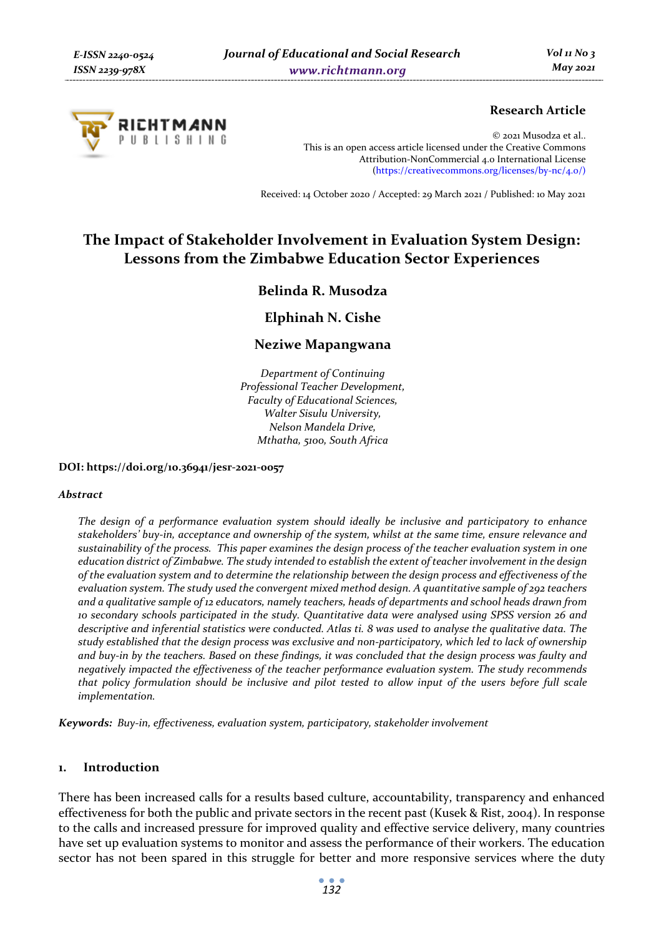

# **Research Article**

© 2021 Musodza et al.. This is an open access article licensed under the Creative Commons Attribution-NonCommercial 4.0 International License (https://creativecommons.org/licenses/by-nc/4.0/)

Received: 14 October 2020 / Accepted: 29 March 2021 / Published: 10 May 2021

# **The Impact of Stakeholder Involvement in Evaluation System Design: Lessons from the Zimbabwe Education Sector Experiences**

# **Belinda R. Musodza**

**Elphinah N. Cishe** 

# **Neziwe Mapangwana**

*Department of Continuing Professional Teacher Development, Faculty of Educational Sciences, Walter Sisulu University, Nelson Mandela Drive, Mthatha, 5100, South Africa* 

**DOI: https://doi.org/10.36941/jesr-2021-0057** 

#### *Abstract*

*The design of a performance evaluation system should ideally be inclusive and participatory to enhance stakeholders' buy-in, acceptance and ownership of the system, whilst at the same time, ensure relevance and sustainability of the process. This paper examines the design process of the teacher evaluation system in one education district of Zimbabwe. The study intended to establish the extent of teacher involvement in the design of the evaluation system and to determine the relationship between the design process and effectiveness of the evaluation system. The study used the convergent mixed method design. A quantitative sample of 292 teachers and a qualitative sample of 12 educators, namely teachers, heads of departments and school heads drawn from 10 secondary schools participated in the study. Quantitative data were analysed using SPSS version 26 and descriptive and inferential statistics were conducted. Atlas ti. 8 was used to analyse the qualitative data. The study established that the design process was exclusive and non-participatory, which led to lack of ownership and buy-in by the teachers. Based on these findings, it was concluded that the design process was faulty and negatively impacted the effectiveness of the teacher performance evaluation system. The study recommends that policy formulation should be inclusive and pilot tested to allow input of the users before full scale implementation.* 

*Keywords: Buy-in, effectiveness, evaluation system, participatory, stakeholder involvement* 

#### **1. Introduction**

There has been increased calls for a results based culture, accountability, transparency and enhanced effectiveness for both the public and private sectors in the recent past (Kusek & Rist, 2004). In response to the calls and increased pressure for improved quality and effective service delivery, many countries have set up evaluation systems to monitor and assess the performance of their workers. The education sector has not been spared in this struggle for better and more responsive services where the duty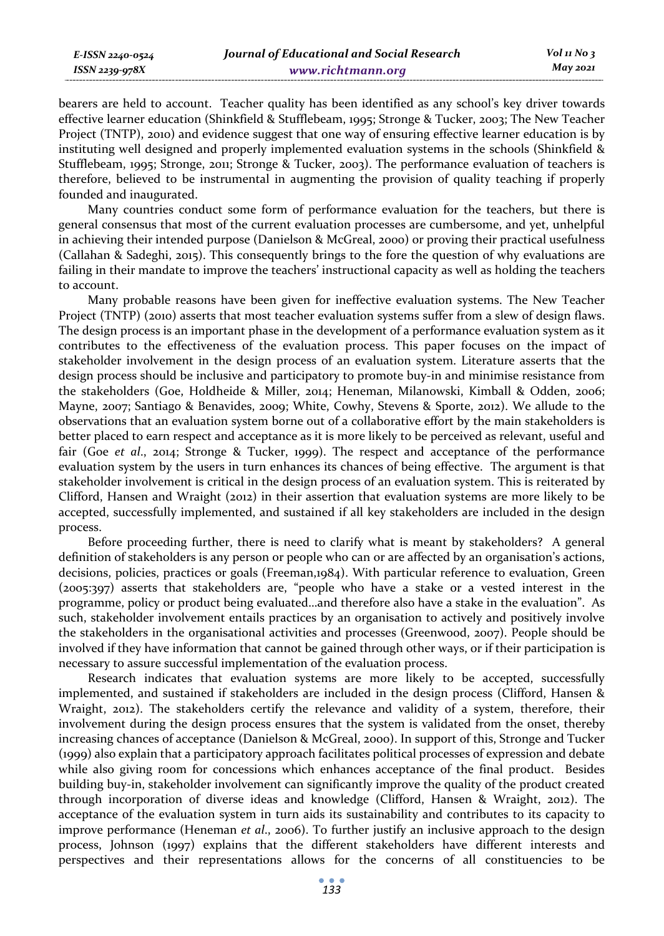bearers are held to account. Teacher quality has been identified as any school's key driver towards effective learner education (Shinkfield & Stufflebeam, 1995; Stronge & Tucker, 2003; The New Teacher Project (TNTP), 2010) and evidence suggest that one way of ensuring effective learner education is by instituting well designed and properly implemented evaluation systems in the schools (Shinkfield & Stufflebeam, 1995; Stronge, 2011; Stronge & Tucker, 2003). The performance evaluation of teachers is therefore, believed to be instrumental in augmenting the provision of quality teaching if properly founded and inaugurated.

Many countries conduct some form of performance evaluation for the teachers, but there is general consensus that most of the current evaluation processes are cumbersome, and yet, unhelpful in achieving their intended purpose (Danielson & McGreal, 2000) or proving their practical usefulness (Callahan & Sadeghi, 2015). This consequently brings to the fore the question of why evaluations are failing in their mandate to improve the teachers' instructional capacity as well as holding the teachers to account.

Many probable reasons have been given for ineffective evaluation systems. The New Teacher Project (TNTP) (2010) asserts that most teacher evaluation systems suffer from a slew of design flaws. The design process is an important phase in the development of a performance evaluation system as it contributes to the effectiveness of the evaluation process. This paper focuses on the impact of stakeholder involvement in the design process of an evaluation system. Literature asserts that the design process should be inclusive and participatory to promote buy-in and minimise resistance from the stakeholders (Goe, Holdheide & Miller, 2014; Heneman, Milanowski, Kimball & Odden, 2006; Mayne, 2007; Santiago & Benavides, 2009; White, Cowhy, Stevens & Sporte, 2012). We allude to the observations that an evaluation system borne out of a collaborative effort by the main stakeholders is better placed to earn respect and acceptance as it is more likely to be perceived as relevant, useful and fair (Goe *et al*., 2014; Stronge & Tucker, 1999). The respect and acceptance of the performance evaluation system by the users in turn enhances its chances of being effective. The argument is that stakeholder involvement is critical in the design process of an evaluation system. This is reiterated by Clifford, Hansen and Wraight (2012) in their assertion that evaluation systems are more likely to be accepted, successfully implemented, and sustained if all key stakeholders are included in the design process.

Before proceeding further, there is need to clarify what is meant by stakeholders? A general definition of stakeholders is any person or people who can or are affected by an organisation's actions, decisions, policies, practices or goals (Freeman,1984). With particular reference to evaluation, Green (2005:397) asserts that stakeholders are, "people who have a stake or a vested interest in the programme, policy or product being evaluated…and therefore also have a stake in the evaluation". As such, stakeholder involvement entails practices by an organisation to actively and positively involve the stakeholders in the organisational activities and processes (Greenwood, 2007). People should be involved if they have information that cannot be gained through other ways, or if their participation is necessary to assure successful implementation of the evaluation process.

Research indicates that evaluation systems are more likely to be accepted, successfully implemented, and sustained if stakeholders are included in the design process (Clifford, Hansen & Wraight, 2012). The stakeholders certify the relevance and validity of a system, therefore, their involvement during the design process ensures that the system is validated from the onset, thereby increasing chances of acceptance (Danielson & McGreal, 2000). In support of this, Stronge and Tucker (1999) also explain that a participatory approach facilitates political processes of expression and debate while also giving room for concessions which enhances acceptance of the final product. Besides building buy-in, stakeholder involvement can significantly improve the quality of the product created through incorporation of diverse ideas and knowledge (Clifford, Hansen & Wraight, 2012). The acceptance of the evaluation system in turn aids its sustainability and contributes to its capacity to improve performance (Heneman *et al*., 2006). To further justify an inclusive approach to the design process, Johnson (1997) explains that the different stakeholders have different interests and perspectives and their representations allows for the concerns of all constituencies to be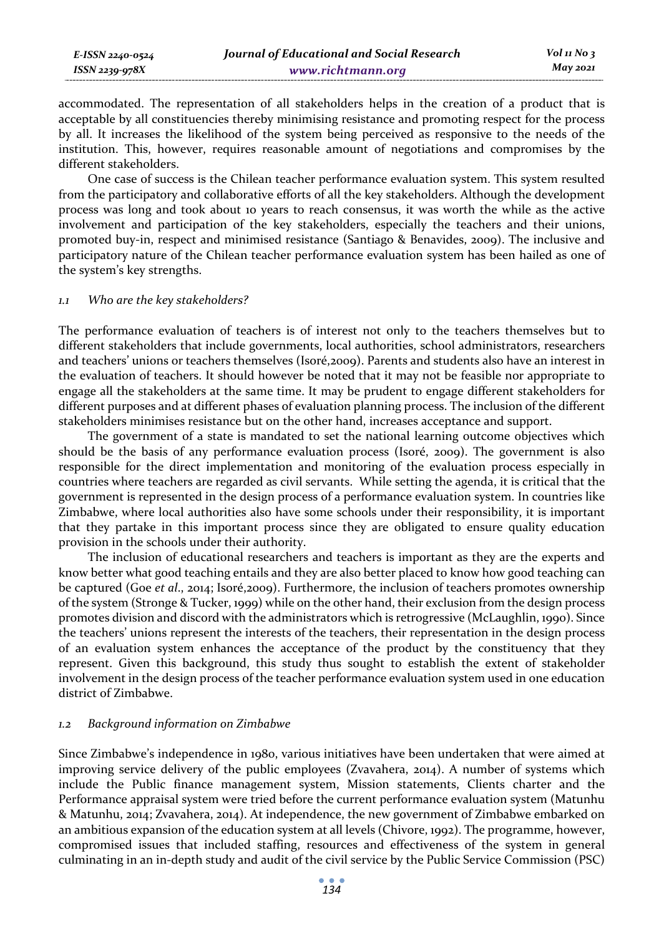accommodated. The representation of all stakeholders helps in the creation of a product that is acceptable by all constituencies thereby minimising resistance and promoting respect for the process by all. It increases the likelihood of the system being perceived as responsive to the needs of the institution. This, however, requires reasonable amount of negotiations and compromises by the different stakeholders.

One case of success is the Chilean teacher performance evaluation system. This system resulted from the participatory and collaborative efforts of all the key stakeholders. Although the development process was long and took about 10 years to reach consensus, it was worth the while as the active involvement and participation of the key stakeholders, especially the teachers and their unions, promoted buy-in, respect and minimised resistance (Santiago & Benavides, 2009). The inclusive and participatory nature of the Chilean teacher performance evaluation system has been hailed as one of the system's key strengths.

#### *1.1 Who are the key stakeholders?*

The performance evaluation of teachers is of interest not only to the teachers themselves but to different stakeholders that include governments, local authorities, school administrators, researchers and teachers' unions or teachers themselves (Isoré,2009). Parents and students also have an interest in the evaluation of teachers. It should however be noted that it may not be feasible nor appropriate to engage all the stakeholders at the same time. It may be prudent to engage different stakeholders for different purposes and at different phases of evaluation planning process. The inclusion of the different stakeholders minimises resistance but on the other hand, increases acceptance and support.

The government of a state is mandated to set the national learning outcome objectives which should be the basis of any performance evaluation process (Isoré, 2009). The government is also responsible for the direct implementation and monitoring of the evaluation process especially in countries where teachers are regarded as civil servants. While setting the agenda, it is critical that the government is represented in the design process of a performance evaluation system. In countries like Zimbabwe, where local authorities also have some schools under their responsibility, it is important that they partake in this important process since they are obligated to ensure quality education provision in the schools under their authority.

The inclusion of educational researchers and teachers is important as they are the experts and know better what good teaching entails and they are also better placed to know how good teaching can be captured (Goe *et al*., 2014; Isoré,2009). Furthermore, the inclusion of teachers promotes ownership of the system (Stronge & Tucker, 1999) while on the other hand, their exclusion from the design process promotes division and discord with the administrators which is retrogressive (McLaughlin, 1990). Since the teachers' unions represent the interests of the teachers, their representation in the design process of an evaluation system enhances the acceptance of the product by the constituency that they represent. Given this background, this study thus sought to establish the extent of stakeholder involvement in the design process of the teacher performance evaluation system used in one education district of Zimbabwe.

#### *1.2 Background information on Zimbabwe*

Since Zimbabwe's independence in 1980, various initiatives have been undertaken that were aimed at improving service delivery of the public employees (Zvavahera, 2014). A number of systems which include the Public finance management system, Mission statements, Clients charter and the Performance appraisal system were tried before the current performance evaluation system (Matunhu & Matunhu, 2014; Zvavahera, 2014). At independence, the new government of Zimbabwe embarked on an ambitious expansion of the education system at all levels (Chivore, 1992). The programme, however, compromised issues that included staffing, resources and effectiveness of the system in general culminating in an in-depth study and audit of the civil service by the Public Service Commission (PSC)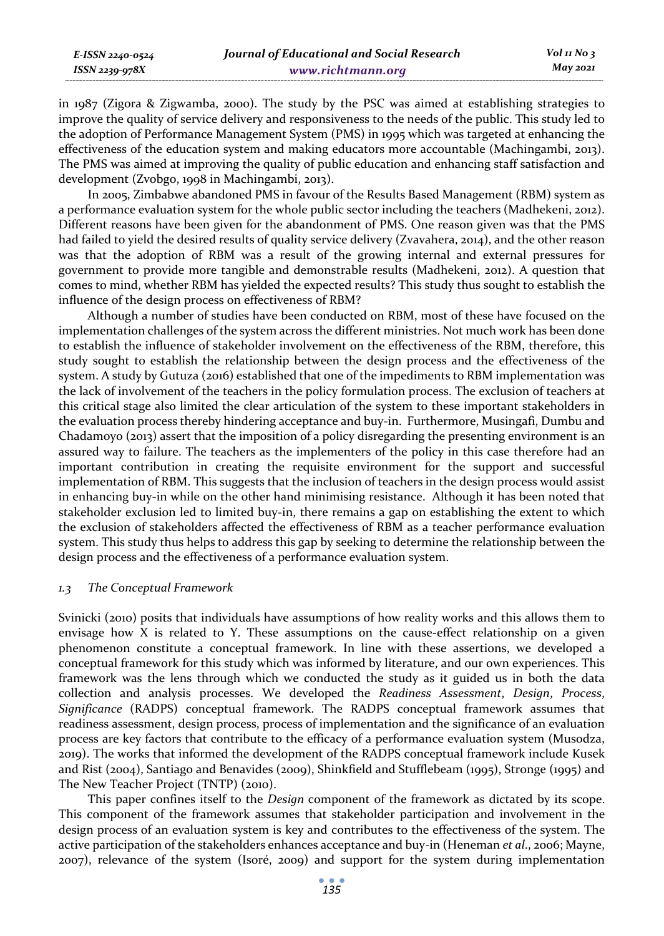| E-ISSN 2240-0524 | Journal of Educational and Social Research | $Vol_1N_0$ 3 |
|------------------|--------------------------------------------|--------------|
| ISSN 2239-978X   | www.richtmann.org                          | May 2021     |
|                  |                                            |              |

in 1987 (Zigora & Zigwamba, 2000). The study by the PSC was aimed at establishing strategies to improve the quality of service delivery and responsiveness to the needs of the public. This study led to the adoption of Performance Management System (PMS) in 1995 which was targeted at enhancing the effectiveness of the education system and making educators more accountable (Machingambi, 2013). The PMS was aimed at improving the quality of public education and enhancing staff satisfaction and development (Zvobgo, 1998 in Machingambi, 2013).

In 2005, Zimbabwe abandoned PMS in favour of the Results Based Management (RBM) system as a performance evaluation system for the whole public sector including the teachers (Madhekeni, 2012). Different reasons have been given for the abandonment of PMS. One reason given was that the PMS had failed to yield the desired results of quality service delivery (Zvavahera, 2014), and the other reason was that the adoption of RBM was a result of the growing internal and external pressures for government to provide more tangible and demonstrable results (Madhekeni, 2012). A question that comes to mind, whether RBM has yielded the expected results? This study thus sought to establish the influence of the design process on effectiveness of RBM?

Although a number of studies have been conducted on RBM, most of these have focused on the implementation challenges of the system across the different ministries. Not much work has been done to establish the influence of stakeholder involvement on the effectiveness of the RBM, therefore, this study sought to establish the relationship between the design process and the effectiveness of the system. A study by Gutuza (2016) established that one of the impediments to RBM implementation was the lack of involvement of the teachers in the policy formulation process. The exclusion of teachers at this critical stage also limited the clear articulation of the system to these important stakeholders in the evaluation process thereby hindering acceptance and buy-in. Furthermore, Musingafi, Dumbu and Chadamoyo (2013) assert that the imposition of a policy disregarding the presenting environment is an assured way to failure. The teachers as the implementers of the policy in this case therefore had an important contribution in creating the requisite environment for the support and successful implementation of RBM. This suggests that the inclusion of teachers in the design process would assist in enhancing buy-in while on the other hand minimising resistance. Although it has been noted that stakeholder exclusion led to limited buy-in, there remains a gap on establishing the extent to which the exclusion of stakeholders affected the effectiveness of RBM as a teacher performance evaluation system. This study thus helps to address this gap by seeking to determine the relationship between the design process and the effectiveness of a performance evaluation system.

#### *1.3 The Conceptual Framework*

Svinicki (2010) posits that individuals have assumptions of how reality works and this allows them to envisage how X is related to Y. These assumptions on the cause-effect relationship on a given phenomenon constitute a conceptual framework. In line with these assertions, we developed a conceptual framework for this study which was informed by literature, and our own experiences. This framework was the lens through which we conducted the study as it guided us in both the data collection and analysis processes. We developed the *Readiness Assessment*, *Design*, *Process*, *Significance* (RADPS) conceptual framework. The RADPS conceptual framework assumes that readiness assessment, design process, process of implementation and the significance of an evaluation process are key factors that contribute to the efficacy of a performance evaluation system (Musodza, 2019). The works that informed the development of the RADPS conceptual framework include Kusek and Rist (2004), Santiago and Benavides (2009), Shinkfield and Stufflebeam (1995), Stronge (1995) and The New Teacher Project (TNTP) (2010).

This paper confines itself to the *Design* component of the framework as dictated by its scope. This component of the framework assumes that stakeholder participation and involvement in the design process of an evaluation system is key and contributes to the effectiveness of the system. The active participation of the stakeholders enhances acceptance and buy-in (Heneman *et al*., 2006; Mayne, 2007), relevance of the system (Isoré, 2009) and support for the system during implementation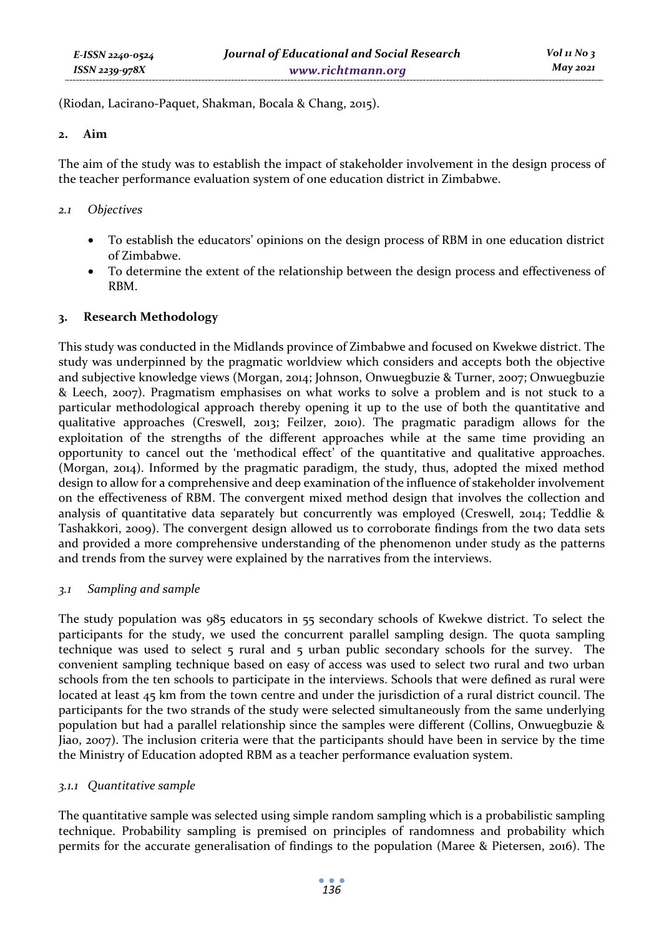(Riodan, Lacirano-Paquet, Shakman, Bocala & Chang, 2015).

#### **2. Aim**

The aim of the study was to establish the impact of stakeholder involvement in the design process of the teacher performance evaluation system of one education district in Zimbabwe.

### *2.1 Objectives*

- To establish the educators' opinions on the design process of RBM in one education district of Zimbabwe.
- To determine the extent of the relationship between the design process and effectiveness of RBM.

### **3. Research Methodology**

This study was conducted in the Midlands province of Zimbabwe and focused on Kwekwe district. The study was underpinned by the pragmatic worldview which considers and accepts both the objective and subjective knowledge views (Morgan, 2014; Johnson, Onwuegbuzie & Turner, 2007; Onwuegbuzie & Leech, 2007). Pragmatism emphasises on what works to solve a problem and is not stuck to a particular methodological approach thereby opening it up to the use of both the quantitative and qualitative approaches (Creswell, 2013; Feilzer, 2010). The pragmatic paradigm allows for the exploitation of the strengths of the different approaches while at the same time providing an opportunity to cancel out the 'methodical effect' of the quantitative and qualitative approaches. (Morgan, 2014). Informed by the pragmatic paradigm, the study, thus, adopted the mixed method design to allow for a comprehensive and deep examination of the influence of stakeholder involvement on the effectiveness of RBM. The convergent mixed method design that involves the collection and analysis of quantitative data separately but concurrently was employed (Creswell, 2014; Teddlie & Tashakkori, 2009). The convergent design allowed us to corroborate findings from the two data sets and provided a more comprehensive understanding of the phenomenon under study as the patterns and trends from the survey were explained by the narratives from the interviews.

### *3.1 Sampling and sample*

The study population was 985 educators in 55 secondary schools of Kwekwe district. To select the participants for the study, we used the concurrent parallel sampling design. The quota sampling technique was used to select  $\overline{5}$  rural and  $\overline{5}$  urban public secondary schools for the survey. The convenient sampling technique based on easy of access was used to select two rural and two urban schools from the ten schools to participate in the interviews. Schools that were defined as rural were located at least 45 km from the town centre and under the jurisdiction of a rural district council. The participants for the two strands of the study were selected simultaneously from the same underlying population but had a parallel relationship since the samples were different (Collins, Onwuegbuzie & Jiao, 2007). The inclusion criteria were that the participants should have been in service by the time the Ministry of Education adopted RBM as a teacher performance evaluation system.

### *3.1.1 Quantitative sample*

The quantitative sample was selected using simple random sampling which is a probabilistic sampling technique. Probability sampling is premised on principles of randomness and probability which permits for the accurate generalisation of findings to the population (Maree & Pietersen, 2016). The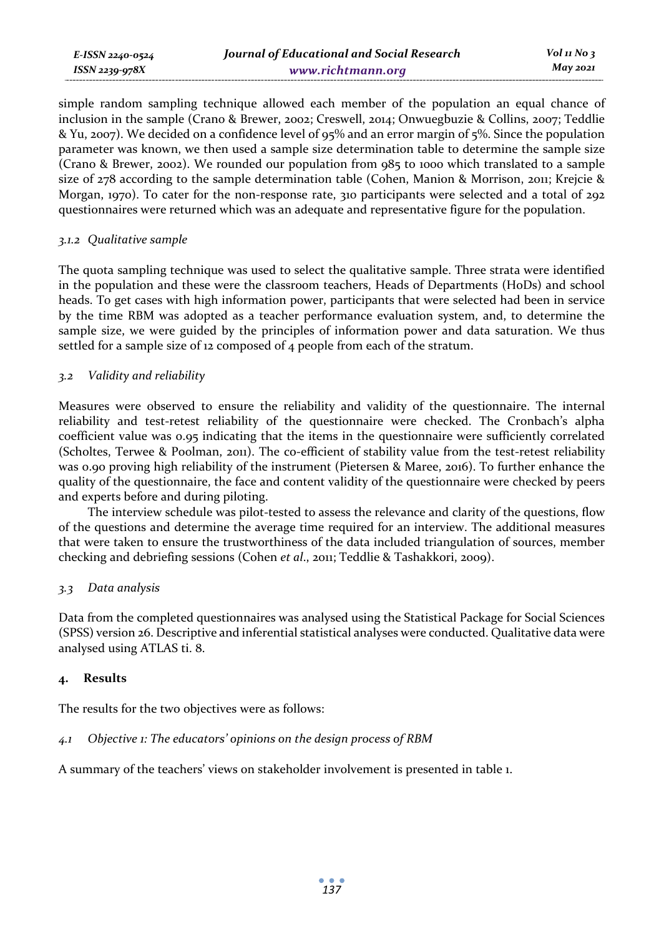simple random sampling technique allowed each member of the population an equal chance of inclusion in the sample (Crano & Brewer, 2002; Creswell, 2014; Onwuegbuzie & Collins, 2007; Teddlie & Yu, 2007). We decided on a confidence level of 95% and an error margin of 5%. Since the population parameter was known, we then used a sample size determination table to determine the sample size (Crano & Brewer, 2002). We rounded our population from 985 to 1000 which translated to a sample size of 278 according to the sample determination table (Cohen, Manion & Morrison, 2011; Krejcie & Morgan, 1970). To cater for the non-response rate, 310 participants were selected and a total of 292 questionnaires were returned which was an adequate and representative figure for the population.

#### *3.1.2 Qualitative sample*

*E-ISSN 2240-0524 ISSN 2239-978X*

The quota sampling technique was used to select the qualitative sample. Three strata were identified in the population and these were the classroom teachers, Heads of Departments (HoDs) and school heads. To get cases with high information power, participants that were selected had been in service by the time RBM was adopted as a teacher performance evaluation system, and, to determine the sample size, we were guided by the principles of information power and data saturation. We thus settled for a sample size of 12 composed of 4 people from each of the stratum.

### *3.2 Validity and reliability*

Measures were observed to ensure the reliability and validity of the questionnaire. The internal reliability and test-retest reliability of the questionnaire were checked. The Cronbach's alpha coefficient value was 0.95 indicating that the items in the questionnaire were sufficiently correlated (Scholtes, Terwee & Poolman, 2011). The co-efficient of stability value from the test-retest reliability was 0.90 proving high reliability of the instrument (Pietersen & Maree, 2016). To further enhance the quality of the questionnaire, the face and content validity of the questionnaire were checked by peers and experts before and during piloting.

The interview schedule was pilot-tested to assess the relevance and clarity of the questions, flow of the questions and determine the average time required for an interview. The additional measures that were taken to ensure the trustworthiness of the data included triangulation of sources, member checking and debriefing sessions (Cohen *et al*., 2011; Teddlie & Tashakkori, 2009).

### *3.3 Data analysis*

Data from the completed questionnaires was analysed using the Statistical Package for Social Sciences (SPSS) version 26. Descriptive and inferential statistical analyses were conducted. Qualitative data were analysed using ATLAS ti. 8.

### **4. Results**

The results for the two objectives were as follows:

### *4.1 Objective 1: The educators' opinions on the design process of RBM*

A summary of the teachers' views on stakeholder involvement is presented in table 1.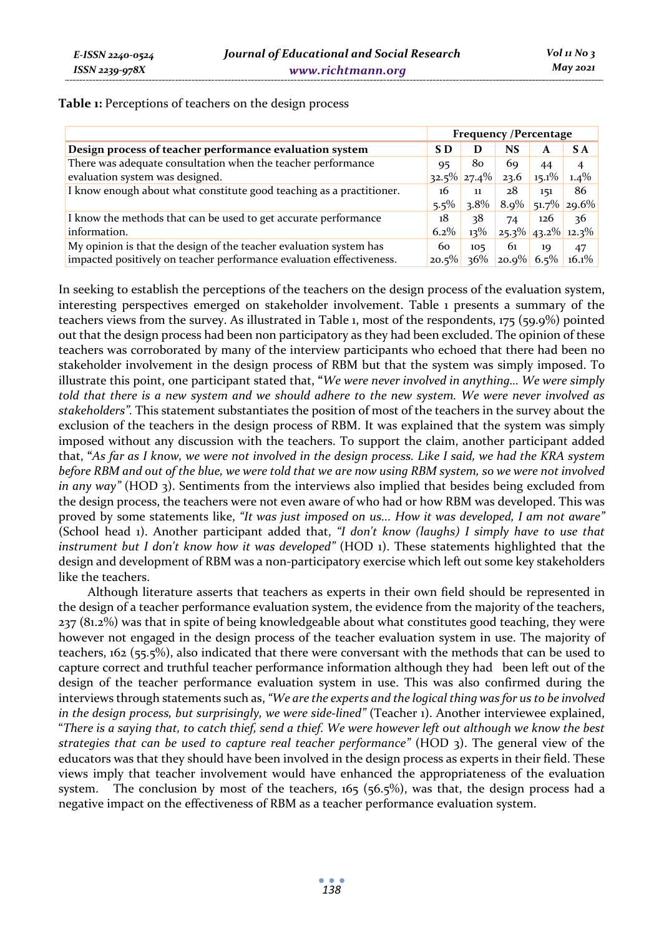| Table 1: Perceptions of teachers on the design process |  |  |  |  |  |
|--------------------------------------------------------|--|--|--|--|--|
|--------------------------------------------------------|--|--|--|--|--|

|                                                                      | <b>Frequency /Percentage</b> |         |                      |          |                     |
|----------------------------------------------------------------------|------------------------------|---------|----------------------|----------|---------------------|
| Design process of teacher performance evaluation system              | S D                          | D       | <b>NS</b>            | A        | S A                 |
| There was adequate consultation when the teacher performance         | 95                           | 80      | 69                   | 44       | $\overline{4}$      |
| evaluation system was designed.                                      | $32.5\%$ 27.4%               |         | 23.6                 | $15.1\%$ | $1.4\%$             |
| I know enough about what constitute good teaching as a practitioner. | 16                           | 11      | 28                   | 151      | 86                  |
|                                                                      | $5.5\%$                      | $3.8\%$ |                      |          | $8.9\%$ 51.7% 29.6% |
| I know the methods that can be used to get accurate performance      | 18                           | 38      | 74                   | 126      | 36                  |
| information.                                                         | $6.2\%$                      | $13\%$  | $25.3\%$ 43.2% 12.3% |          |                     |
| My opinion is that the design of the teacher evaluation system has   | 60                           | 105     | 61                   | 10       | 47                  |
| impacted positively on teacher performance evaluation effectiveness. | $20.5\%$                     | $36\%$  | $20.9\%$ 6.5%        |          | $16.1\%$            |

In seeking to establish the perceptions of the teachers on the design process of the evaluation system, interesting perspectives emerged on stakeholder involvement. Table 1 presents a summary of the teachers views from the survey. As illustrated in Table 1, most of the respondents, 175 (59.9%) pointed out that the design process had been non participatory as they had been excluded. The opinion of these teachers was corroborated by many of the interview participants who echoed that there had been no stakeholder involvement in the design process of RBM but that the system was simply imposed. To illustrate this point, one participant stated that, **"***We were never involved in anything… We were simply told that there is a new system and we should adhere to the new system. We were never involved as stakeholders".* This statement substantiates the position of most of the teachers in the survey about the exclusion of the teachers in the design process of RBM. It was explained that the system was simply imposed without any discussion with the teachers. To support the claim, another participant added that, **"***As far as I know, we were not involved in the design process. Like I said, we had the KRA system before RBM and out of the blue, we were told that we are now using RBM system, so we were not involved in any way"* (HOD 3). Sentiments from the interviews also implied that besides being excluded from the design process, the teachers were not even aware of who had or how RBM was developed. This was proved by some statements like, *"It was just imposed on us... How it was developed, I am not aware"* (School head 1). Another participant added that, *"I don't know (laughs) I simply have to use that instrument but I don't know how it was developed"* (HOD 1). These statements highlighted that the design and development of RBM was a non-participatory exercise which left out some key stakeholders like the teachers.

Although literature asserts that teachers as experts in their own field should be represented in the design of a teacher performance evaluation system, the evidence from the majority of the teachers, 237 (81.2%) was that in spite of being knowledgeable about what constitutes good teaching, they were however not engaged in the design process of the teacher evaluation system in use. The majority of teachers, 162 (55.5%), also indicated that there were conversant with the methods that can be used to capture correct and truthful teacher performance information although they had been left out of the design of the teacher performance evaluation system in use. This was also confirmed during the interviews through statements such as, *"We are the experts and the logical thing was for us to be involved in the design process, but surprisingly, we were side-lined"* (Teacher 1). Another interviewee explained, "*There is a saying that, to catch thief, send a thief. We were however left out although we know the best strategies that can be used to capture real teacher performance"* (HOD 3). The general view of the educators was that they should have been involved in the design process as experts in their field. These views imply that teacher involvement would have enhanced the appropriateness of the evaluation system. The conclusion by most of the teachers, 165 (56.5%), was that, the design process had a negative impact on the effectiveness of RBM as a teacher performance evaluation system.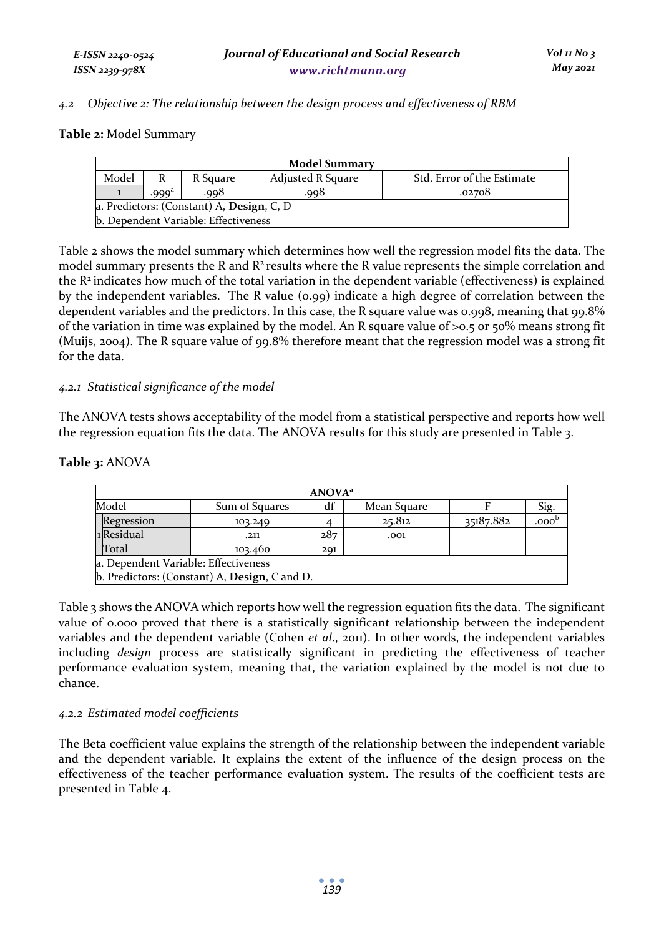#### *4.2 Objective 2: The relationship between the design process and effectiveness of RBM*

#### **Table 2:** Model Summary

| <b>Model Summary</b>                                                        |                   |      |      |        |  |  |
|-----------------------------------------------------------------------------|-------------------|------|------|--------|--|--|
| Model<br><b>Adjusted R Square</b><br>Std. Error of the Estimate<br>R Square |                   |      |      |        |  |  |
|                                                                             | .999 <sup>a</sup> | .998 | .998 | .02708 |  |  |
| a. Predictors: (Constant) A, Design, C, D                                   |                   |      |      |        |  |  |
| b. Dependent Variable: Effectiveness                                        |                   |      |      |        |  |  |

Table 2 shows the model summary which determines how well the regression model fits the data. The model summary presents the R and  $R^2$  results where the R value represents the simple correlation and the R2 indicates how much of the total variation in the dependent variable (effectiveness) is explained by the independent variables. The R value  $(o, qq)$  indicate a high degree of correlation between the dependent variables and the predictors. In this case, the R square value was 0.998, meaning that 99.8% of the variation in time was explained by the model. An R square value of  $>0.5$  or  $50\%$  means strong fit (Muijs, 2004). The R square value of 99.8% therefore meant that the regression model was a strong fit for the data.

#### *4.2.1 Statistical significance of the model*

The ANOVA tests shows acceptability of the model from a statistical perspective and reports how well the regression equation fits the data. The ANOVA results for this study are presented in Table 3.

| <b>ANOVA</b> <sup>a</sup>            |                                               |     |             |           |                   |  |
|--------------------------------------|-----------------------------------------------|-----|-------------|-----------|-------------------|--|
| Model                                | Sum of Squares                                | df  | Mean Square |           | Sig.              |  |
| Regression                           | 103.249                                       |     | 25.812      | 35187.882 | .000 <sup>b</sup> |  |
| 1 Residual                           | .211                                          | 287 | .001        |           |                   |  |
| Total                                | 103.460                                       | 201 |             |           |                   |  |
| a. Dependent Variable: Effectiveness |                                               |     |             |           |                   |  |
|                                      | b. Predictors: (Constant) A, Design, C and D. |     |             |           |                   |  |

### **Table 3:** ANOVA

Table 3 shows the ANOVA which reports how well the regression equation fits the data. The significant value of 0.000 proved that there is a statistically significant relationship between the independent variables and the dependent variable (Cohen *et al*., 2011). In other words, the independent variables including *design* process are statistically significant in predicting the effectiveness of teacher performance evaluation system, meaning that, the variation explained by the model is not due to chance.

### *4.2.2 Estimated model coefficients*

The Beta coefficient value explains the strength of the relationship between the independent variable and the dependent variable. It explains the extent of the influence of the design process on the effectiveness of the teacher performance evaluation system. The results of the coefficient tests are presented in Table 4.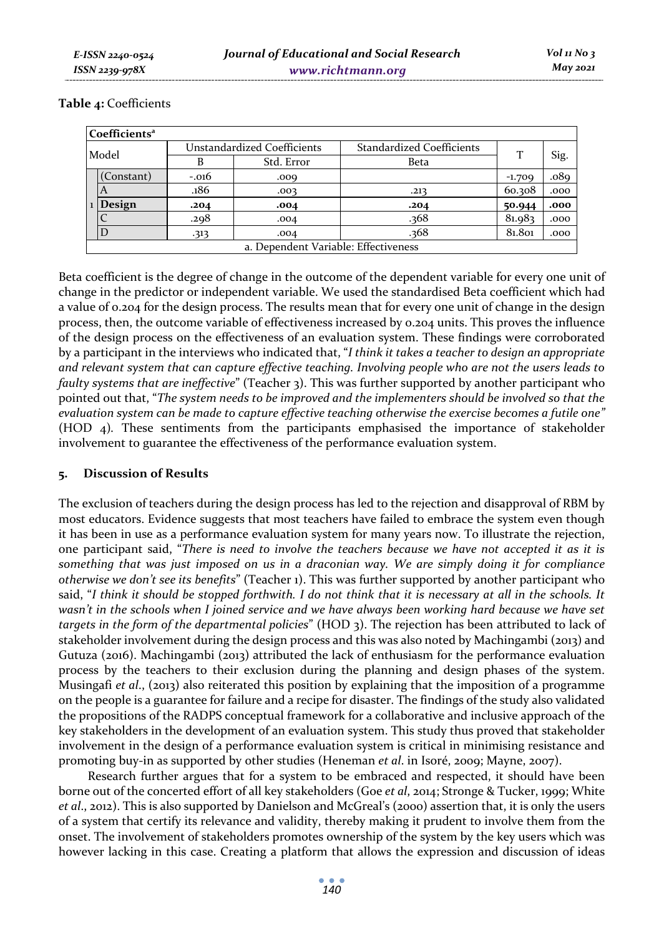|       | Coefficients <sup>a</sup>            |                             |            |                                  |          |      |
|-------|--------------------------------------|-----------------------------|------------|----------------------------------|----------|------|
| Model |                                      | Unstandardized Coefficients |            | <b>Standardized Coefficients</b> | T        |      |
|       |                                      | В                           | Std. Error | <b>Beta</b>                      |          | Sig. |
|       | (Constant)                           | $-.016$                     | .009       |                                  | $-1.709$ | .089 |
|       |                                      | .186                        | .003       | .213                             | 60.308   | .000 |
|       | 1 Design                             | .204                        | .004       | .204                             | 50.944   | .000 |
|       |                                      | .298                        | .004       | .368                             | 81.983   | .000 |
|       |                                      | -313                        | .004       | 368.                             | 81.801   | .000 |
|       | a. Dependent Variable: Effectiveness |                             |            |                                  |          |      |

#### **Table 4:** Coefficients

Beta coefficient is the degree of change in the outcome of the dependent variable for every one unit of change in the predictor or independent variable. We used the standardised Beta coefficient which had a value of 0.204 for the design process. The results mean that for every one unit of change in the design process, then, the outcome variable of effectiveness increased by 0.204 units. This proves the influence of the design process on the effectiveness of an evaluation system. These findings were corroborated by a participant in the interviews who indicated that, "*I think it takes a teacher to design an appropriate and relevant system that can capture effective teaching. Involving people who are not the users leads to faulty systems that are ineffective*" (Teacher 3). This was further supported by another participant who pointed out that, "*The system needs to be improved and the implementers should be involved so that the evaluation system can be made to capture effective teaching otherwise the exercise becomes a futile one"*  (HOD 4)*.* These sentiments from the participants emphasised the importance of stakeholder involvement to guarantee the effectiveness of the performance evaluation system.

### **5. Discussion of Results**

The exclusion of teachers during the design process has led to the rejection and disapproval of RBM by most educators. Evidence suggests that most teachers have failed to embrace the system even though it has been in use as a performance evaluation system for many years now. To illustrate the rejection, one participant said, "*There is need to involve the teachers because we have not accepted it as it is something that was just imposed on us in a draconian way. We are simply doing it for compliance otherwise we don't see its benefits*" (Teacher 1). This was further supported by another participant who said, "*I think it should be stopped forthwith. I do not think that it is necessary at all in the schools. It wasn't in the schools when I joined service and we have always been working hard because we have set targets in the form of the departmental policies*" (HOD 3). The rejection has been attributed to lack of stakeholder involvement during the design process and this was also noted by Machingambi (2013) and Gutuza (2016). Machingambi (2013) attributed the lack of enthusiasm for the performance evaluation process by the teachers to their exclusion during the planning and design phases of the system. Musingafi *et al*., (2013) also reiterated this position by explaining that the imposition of a programme on the people is a guarantee for failure and a recipe for disaster. The findings of the study also validated the propositions of the RADPS conceptual framework for a collaborative and inclusive approach of the key stakeholders in the development of an evaluation system. This study thus proved that stakeholder involvement in the design of a performance evaluation system is critical in minimising resistance and promoting buy-in as supported by other studies (Heneman *et al*. in Isoré, 2009; Mayne, 2007).

Research further argues that for a system to be embraced and respected, it should have been borne out of the concerted effort of all key stakeholders (Goe *et al*, 2014; Stronge & Tucker, 1999; White *et al*., 2012). This is also supported by Danielson and McGreal's (2000) assertion that, it is only the users of a system that certify its relevance and validity, thereby making it prudent to involve them from the onset. The involvement of stakeholders promotes ownership of the system by the key users which was however lacking in this case. Creating a platform that allows the expression and discussion of ideas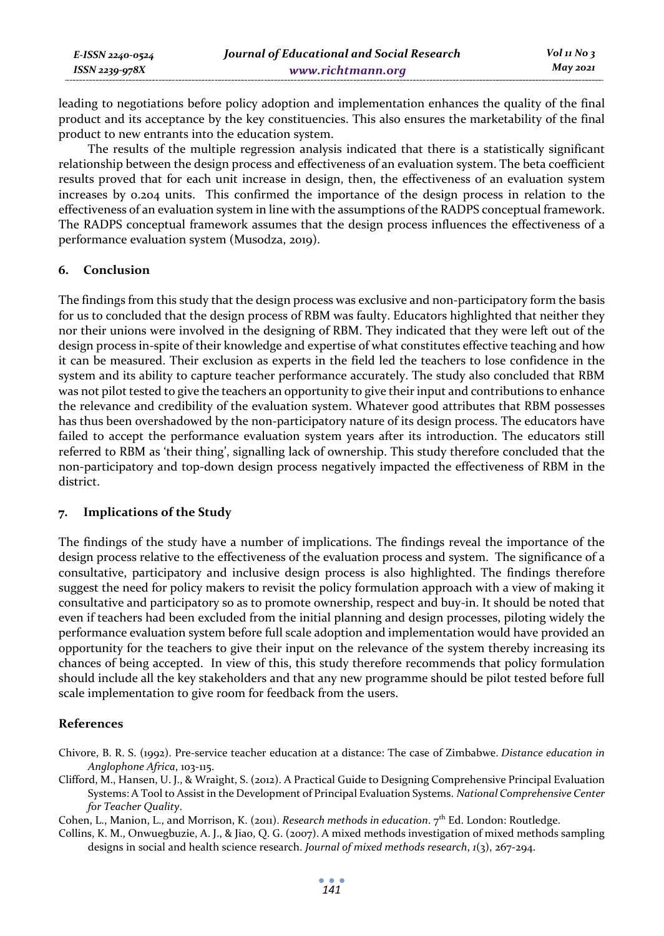| E-ISSN 2240-0524 | Journal of Educational and Social Research | Vol 11 No 3 |
|------------------|--------------------------------------------|-------------|
| ISSN 2239-978X   | www.richtmann.org                          | $M$ ay 2021 |

leading to negotiations before policy adoption and implementation enhances the quality of the final product and its acceptance by the key constituencies. This also ensures the marketability of the final product to new entrants into the education system.

The results of the multiple regression analysis indicated that there is a statistically significant relationship between the design process and effectiveness of an evaluation system. The beta coefficient results proved that for each unit increase in design, then, the effectiveness of an evaluation system increases by 0.204 units. This confirmed the importance of the design process in relation to the effectiveness of an evaluation system in line with the assumptions of the RADPS conceptual framework. The RADPS conceptual framework assumes that the design process influences the effectiveness of a performance evaluation system (Musodza, 2019).

### **6. Conclusion**

The findings from this study that the design process was exclusive and non-participatory form the basis for us to concluded that the design process of RBM was faulty. Educators highlighted that neither they nor their unions were involved in the designing of RBM. They indicated that they were left out of the design process in-spite of their knowledge and expertise of what constitutes effective teaching and how it can be measured. Their exclusion as experts in the field led the teachers to lose confidence in the system and its ability to capture teacher performance accurately. The study also concluded that RBM was not pilot tested to give the teachers an opportunity to give their input and contributions to enhance the relevance and credibility of the evaluation system. Whatever good attributes that RBM possesses has thus been overshadowed by the non-participatory nature of its design process. The educators have failed to accept the performance evaluation system years after its introduction. The educators still referred to RBM as 'their thing', signalling lack of ownership. This study therefore concluded that the non-participatory and top-down design process negatively impacted the effectiveness of RBM in the district.

#### **7. Implications of the Study**

The findings of the study have a number of implications. The findings reveal the importance of the design process relative to the effectiveness of the evaluation process and system. The significance of a consultative, participatory and inclusive design process is also highlighted. The findings therefore suggest the need for policy makers to revisit the policy formulation approach with a view of making it consultative and participatory so as to promote ownership, respect and buy-in. It should be noted that even if teachers had been excluded from the initial planning and design processes, piloting widely the performance evaluation system before full scale adoption and implementation would have provided an opportunity for the teachers to give their input on the relevance of the system thereby increasing its chances of being accepted. In view of this, this study therefore recommends that policy formulation should include all the key stakeholders and that any new programme should be pilot tested before full scale implementation to give room for feedback from the users.

#### **References**

- Chivore, B. R. S. (1992). Pre-service teacher education at a distance: The case of Zimbabwe. *Distance education in Anglophone Africa*, 103-115.
- Clifford, M., Hansen, U. J., & Wraight, S. (2012). A Practical Guide to Designing Comprehensive Principal Evaluation Systems: A Tool to Assist in the Development of Principal Evaluation Systems. *National Comprehensive Center for Teacher Quality*.

Cohen, L., Manion, L., and Morrison, K. (2011). *Research methods in education*. 7th Ed. London: Routledge.

Collins, K. M., Onwuegbuzie, A. J., & Jiao, Q. G. (2007). A mixed methods investigation of mixed methods sampling designs in social and health science research. *Journal of mixed methods research*, *1*(3), 267-294.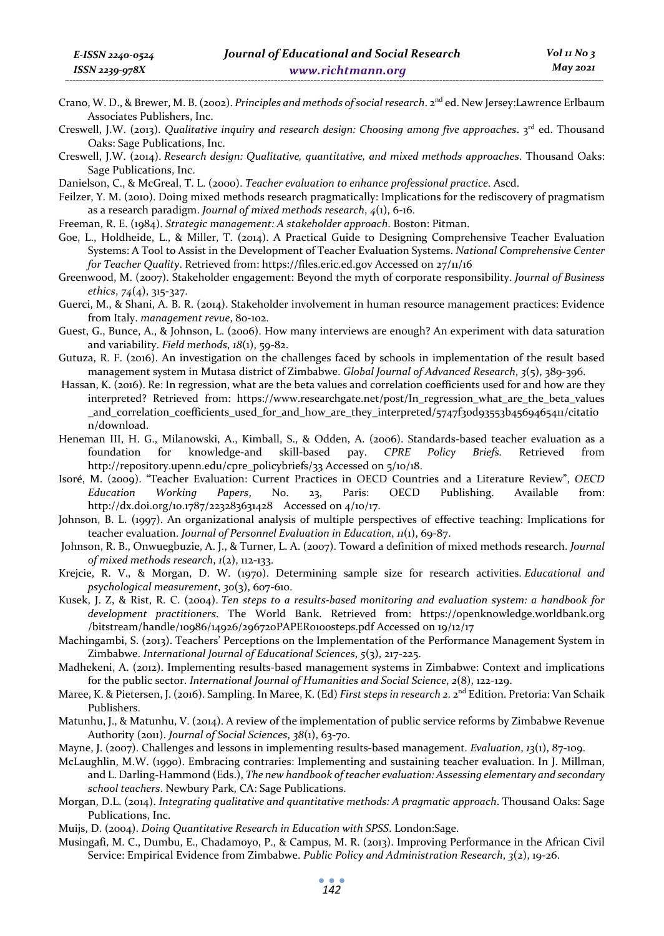- Crano, W. D., & Brewer, M. B. (2002). *Principles and methods of social research*. 2nd ed. New Jersey:Lawrence Erlbaum Associates Publishers, Inc.
- Creswell, J.W. (2013). *Qualitative inquiry and research design: Choosing among five approaches*. 3rd ed. Thousand Oaks: Sage Publications, Inc.
- Creswell, J.W. (2014). *Research design: Qualitative, quantitative, and mixed methods approaches*. Thousand Oaks: Sage Publications, Inc.
- Danielson, C., & McGreal, T. L. (2000). *Teacher evaluation to enhance professional practice*. Ascd.
- Feilzer, Y. M. (2010). Doing mixed methods research pragmatically: Implications for the rediscovery of pragmatism as a research paradigm. *Journal of mixed methods research*, *4*(1), 6-16.
- Freeman, R. E. (1984). *Strategic management: A stakeholder approach*. Boston: Pitman.
- Goe, L., Holdheide, L., & Miller, T. (2014). A Practical Guide to Designing Comprehensive Teacher Evaluation Systems: A Tool to Assist in the Development of Teacher Evaluation Systems. *National Comprehensive Center for Teacher Quality*. Retrieved from: https://files.eric.ed.gov Accessed on 27/11/16
- Greenwood, M. (2007). Stakeholder engagement: Beyond the myth of corporate responsibility. *Journal of Business ethics*, *74*(4), 315-327.
- Guerci, M., & Shani, A. B. R. (2014). Stakeholder involvement in human resource management practices: Evidence from Italy. *management revue*, 80-102.
- Guest, G., Bunce, A., & Johnson, L. (2006). How many interviews are enough? An experiment with data saturation and variability. *Field methods*, *18*(1), 59-82.
- Gutuza, R. F. (2016). An investigation on the challenges faced by schools in implementation of the result based management system in Mutasa district of Zimbabwe. *Global Journal of Advanced Research*, *3*(5), 389-396.
- Hassan, K. (2016). Re: In regression, what are the beta values and correlation coefficients used for and how are they interpreted? Retrieved from: https://www.researchgate.net/post/In\_regression\_what\_are\_the\_beta\_values \_and\_correlation\_coefficients\_used\_for\_and\_how\_are\_they\_interpreted/5747f30d93553b4569465411/citatio n/download.
- Heneman III, H. G., Milanowski, A., Kimball, S., & Odden, A. (2006). Standards-based teacher evaluation as a foundation for knowledge-and skill-based pay. *CPRE Policy Briefs.* Retrieved from http://repository.upenn.edu/cpre\_policybriefs/33 Accessed on 5/10/18.
- Isoré, M. (2009). "Teacher Evaluation: Current Practices in OECD Countries and a Literature Review", *OECD Education Working Papers*, No. 23, Paris: OECD Publishing. Available from: http://dx.doi.org/10.1787/223283631428 Accessed on 4/10/17.
- Johnson, B. L. (1997). An organizational analysis of multiple perspectives of effective teaching: Implications for teacher evaluation. *Journal of Personnel Evaluation in Education*, *11*(1), 69-87.
- Johnson, R. B., Onwuegbuzie, A. J., & Turner, L. A. (2007). Toward a definition of mixed methods research. *Journal of mixed methods research*, *1*(2), 112-133.
- Krejcie, R. V., & Morgan, D. W. (1970). Determining sample size for research activities. *Educational and psychological measurement*, *30*(3), 607-610.
- Kusek, J. Z, & Rist, R. C. (2004). *Ten steps to a results-based monitoring and evaluation system: a handbook for development practitioners*. The World Bank. Retrieved from: https://openknowledge.worldbank.org /bitstream/handle/10986/14926/296720PAPER0100steps.pdf Accessed on 19/12/17
- Machingambi, S. (2013). Teachers' Perceptions on the Implementation of the Performance Management System in Zimbabwe. *International Journal of Educational Sciences*, *5*(3), 217-225.
- Madhekeni, A. (2012). Implementing results-based management systems in Zimbabwe: Context and implications for the public sector. *International Journal of Humanities and Social Science*, *2*(8), 122-129.
- Maree, K. & Pietersen, J. (2016). Sampling. In Maree, K. (Ed) *First steps in research 2*. 2<sup>nd</sup> Edition. Pretoria: Van Schaik Publishers.
- Matunhu, J., & Matunhu, V. (2014). A review of the implementation of public service reforms by Zimbabwe Revenue Authority (2011). *Journal of Social Sciences*, *38*(1), 63-70.
- Mayne, J. (2007). Challenges and lessons in implementing results-based management. *Evaluation*, *13*(1), 87-109.
- McLaughlin, M.W. (1990). Embracing contraries: Implementing and sustaining teacher evaluation. In J. Millman, and L. Darling-Hammond (Eds.), *The new handbook of teacher evaluation: Assessing elementary and secondary school teachers*. Newbury Park, CA: Sage Publications.
- Morgan, D.L. (2014). *Integrating qualitative and quantitative methods: A pragmatic approach*. Thousand Oaks: Sage Publications, Inc.
- Muijs, D. (2004). *Doing Quantitative Research in Education with SPSS*. London:Sage.
- Musingafi, M. C., Dumbu, E., Chadamoyo, P., & Campus, M. R. (2013). Improving Performance in the African Civil Service: Empirical Evidence from Zimbabwe. *Public Policy and Administration Research*, *3*(2), 19-26.